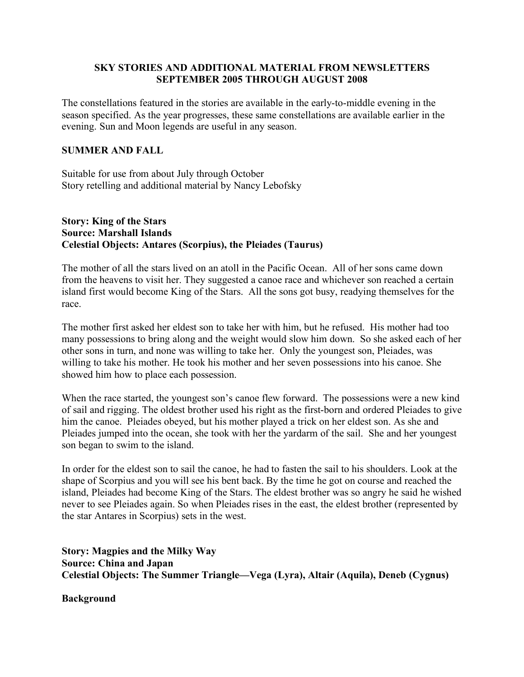# **SKY STORIES AND ADDITIONAL MATERIAL FROM NEWSLETTERS SEPTEMBER 2005 THROUGH AUGUST 2008**

The constellations featured in the stories are available in the early-to-middle evening in the season specified. As the year progresses, these same constellations are available earlier in the evening. Sun and Moon legends are useful in any season.

# **SUMMER AND FALL**

Suitable for use from about July through October Story retelling and additional material by Nancy Lebofsky

# **Story: King of the Stars Source: Marshall Islands Celestial Objects: Antares (Scorpius), the Pleiades (Taurus)**

The mother of all the stars lived on an atoll in the Pacific Ocean. All of her sons came down from the heavens to visit her. They suggested a canoe race and whichever son reached a certain island first would become King of the Stars. All the sons got busy, readying themselves for the race.

The mother first asked her eldest son to take her with him, but he refused. His mother had too many possessions to bring along and the weight would slow him down. So she asked each of her other sons in turn, and none was willing to take her. Only the youngest son, Pleiades, was willing to take his mother. He took his mother and her seven possessions into his canoe. She showed him how to place each possession.

When the race started, the youngest son's canoe flew forward. The possessions were a new kind of sail and rigging. The oldest brother used his right as the first-born and ordered Pleiades to give him the canoe. Pleiades obeyed, but his mother played a trick on her eldest son. As she and Pleiades jumped into the ocean, she took with her the yardarm of the sail. She and her youngest son began to swim to the island.

In order for the eldest son to sail the canoe, he had to fasten the sail to his shoulders. Look at the shape of Scorpius and you will see his bent back. By the time he got on course and reached the island, Pleiades had become King of the Stars. The eldest brother was so angry he said he wished never to see Pleiades again. So when Pleiades rises in the east, the eldest brother (represented by the star Antares in Scorpius) sets in the west.

**Story: Magpies and the Milky Way Source: China and Japan Celestial Objects: The Summer Triangle—Vega (Lyra), Altair (Aquila), Deneb (Cygnus)**

**Background**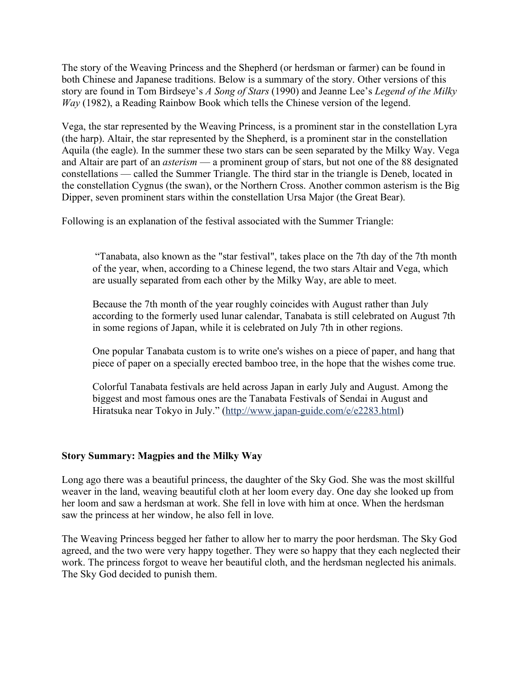The story of the Weaving Princess and the Shepherd (or herdsman or farmer) can be found in both Chinese and Japanese traditions. Below is a summary of the story. Other versions of this story are found in Tom Birdseye's *A Song of Stars* (1990) and Jeanne Lee's *Legend of the Milky Way* (1982), a Reading Rainbow Book which tells the Chinese version of the legend.

Vega, the star represented by the Weaving Princess, is a prominent star in the constellation Lyra (the harp). Altair, the star represented by the Shepherd, is a prominent star in the constellation Aquila (the eagle). In the summer these two stars can be seen separated by the Milky Way. Vega and Altair are part of an *asterism* — a prominent group of stars, but not one of the 88 designated constellations — called the Summer Triangle. The third star in the triangle is Deneb, located in the constellation Cygnus (the swan), or the Northern Cross. Another common asterism is the Big Dipper, seven prominent stars within the constellation Ursa Major (the Great Bear).

Following is an explanation of the festival associated with the Summer Triangle:

 "Tanabata, also known as the "star festival", takes place on the 7th day of the 7th month of the year, when, according to a Chinese legend, the two stars Altair and Vega, which are usually separated from each other by the Milky Way, are able to meet.

Because the 7th month of the year roughly coincides with August rather than July according to the formerly used lunar calendar, Tanabata is still celebrated on August 7th in some regions of Japan, while it is celebrated on July 7th in other regions.

One popular Tanabata custom is to write one's wishes on a piece of paper, and hang that piece of paper on a specially erected bamboo tree, in the hope that the wishes come true.

Colorful Tanabata festivals are held across Japan in early July and August. Among the biggest and most famous ones are the Tanabata Festivals of Sendai in August and Hiratsuka near Tokyo in July." (http://www.japan-guide.com/e/e2283.html)

# **Story Summary: Magpies and the Milky Way**

Long ago there was a beautiful princess, the daughter of the Sky God. She was the most skillful weaver in the land, weaving beautiful cloth at her loom every day. One day she looked up from her loom and saw a herdsman at work. She fell in love with him at once. When the herdsman saw the princess at her window, he also fell in love.

The Weaving Princess begged her father to allow her to marry the poor herdsman. The Sky God agreed, and the two were very happy together. They were so happy that they each neglected their work. The princess forgot to weave her beautiful cloth, and the herdsman neglected his animals. The Sky God decided to punish them.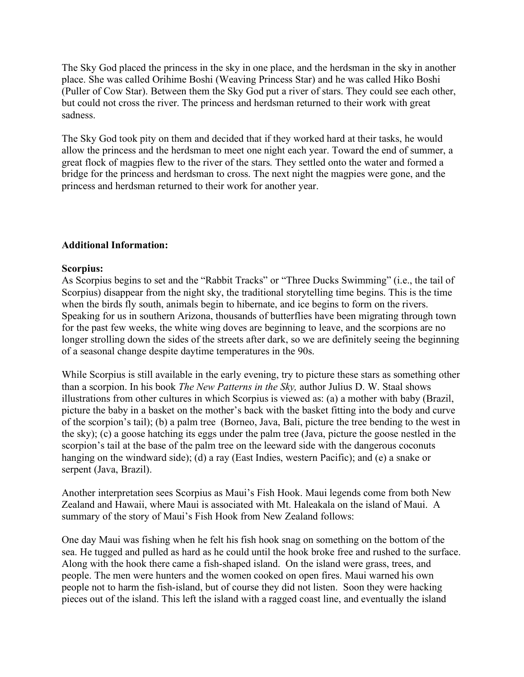The Sky God placed the princess in the sky in one place, and the herdsman in the sky in another place. She was called Orihime Boshi (Weaving Princess Star) and he was called Hiko Boshi (Puller of Cow Star). Between them the Sky God put a river of stars. They could see each other, but could not cross the river. The princess and herdsman returned to their work with great sadness.

The Sky God took pity on them and decided that if they worked hard at their tasks, he would allow the princess and the herdsman to meet one night each year. Toward the end of summer, a great flock of magpies flew to the river of the stars. They settled onto the water and formed a bridge for the princess and herdsman to cross. The next night the magpies were gone, and the princess and herdsman returned to their work for another year.

# **Additional Information:**

# **Scorpius:**

As Scorpius begins to set and the "Rabbit Tracks" or "Three Ducks Swimming" (i.e., the tail of Scorpius) disappear from the night sky, the traditional storytelling time begins. This is the time when the birds fly south, animals begin to hibernate, and ice begins to form on the rivers. Speaking for us in southern Arizona, thousands of butterflies have been migrating through town for the past few weeks, the white wing doves are beginning to leave, and the scorpions are no longer strolling down the sides of the streets after dark, so we are definitely seeing the beginning of a seasonal change despite daytime temperatures in the 90s.

While Scorpius is still available in the early evening, try to picture these stars as something other than a scorpion. In his book *The New Patterns in the Sky,* author Julius D. W. Staal shows illustrations from other cultures in which Scorpius is viewed as: (a) a mother with baby (Brazil, picture the baby in a basket on the mother's back with the basket fitting into the body and curve of the scorpion's tail); (b) a palm tree (Borneo, Java, Bali, picture the tree bending to the west in the sky); (c) a goose hatching its eggs under the palm tree (Java, picture the goose nestled in the scorpion's tail at the base of the palm tree on the leeward side with the dangerous coconuts hanging on the windward side); (d) a ray (East Indies, western Pacific); and (e) a snake or serpent (Java, Brazil).

Another interpretation sees Scorpius as Maui's Fish Hook. Maui legends come from both New Zealand and Hawaii, where Maui is associated with Mt. Haleakala on the island of Maui. A summary of the story of Maui's Fish Hook from New Zealand follows:

One day Maui was fishing when he felt his fish hook snag on something on the bottom of the sea. He tugged and pulled as hard as he could until the hook broke free and rushed to the surface. Along with the hook there came a fish-shaped island. On the island were grass, trees, and people. The men were hunters and the women cooked on open fires. Maui warned his own people not to harm the fish-island, but of course they did not listen. Soon they were hacking pieces out of the island. This left the island with a ragged coast line, and eventually the island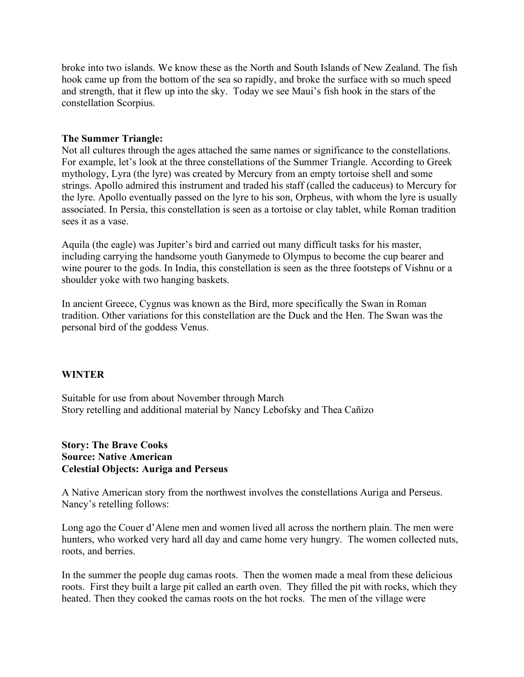broke into two islands. We know these as the North and South Islands of New Zealand. The fish hook came up from the bottom of the sea so rapidly, and broke the surface with so much speed and strength, that it flew up into the sky. Today we see Maui's fish hook in the stars of the constellation Scorpius.

## **The Summer Triangle:**

Not all cultures through the ages attached the same names or significance to the constellations. For example, let's look at the three constellations of the Summer Triangle. According to Greek mythology, Lyra (the lyre) was created by Mercury from an empty tortoise shell and some strings. Apollo admired this instrument and traded his staff (called the caduceus) to Mercury for the lyre. Apollo eventually passed on the lyre to his son, Orpheus, with whom the lyre is usually associated. In Persia, this constellation is seen as a tortoise or clay tablet, while Roman tradition sees it as a vase.

Aquila (the eagle) was Jupiter's bird and carried out many difficult tasks for his master, including carrying the handsome youth Ganymede to Olympus to become the cup bearer and wine pourer to the gods. In India, this constellation is seen as the three footsteps of Vishnu or a shoulder yoke with two hanging baskets.

In ancient Greece, Cygnus was known as the Bird, more specifically the Swan in Roman tradition. Other variations for this constellation are the Duck and the Hen. The Swan was the personal bird of the goddess Venus.

# **WINTER**

Suitable for use from about November through March Story retelling and additional material by Nancy Lebofsky and Thea Cañizo

# **Story: The Brave Cooks Source: Native American Celestial Objects: Auriga and Perseus**

A Native American story from the northwest involves the constellations Auriga and Perseus. Nancy's retelling follows:

Long ago the Couer d'Alene men and women lived all across the northern plain. The men were hunters, who worked very hard all day and came home very hungry. The women collected nuts, roots, and berries.

In the summer the people dug camas roots. Then the women made a meal from these delicious roots. First they built a large pit called an earth oven. They filled the pit with rocks, which they heated. Then they cooked the camas roots on the hot rocks. The men of the village were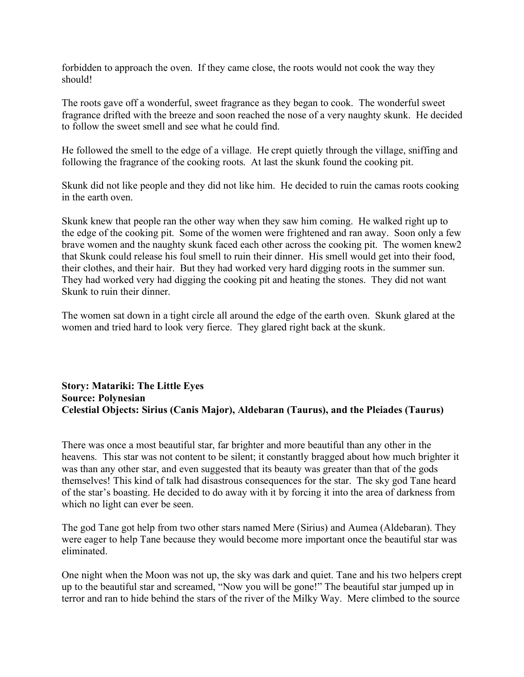forbidden to approach the oven. If they came close, the roots would not cook the way they should!

The roots gave off a wonderful, sweet fragrance as they began to cook. The wonderful sweet fragrance drifted with the breeze and soon reached the nose of a very naughty skunk. He decided to follow the sweet smell and see what he could find.

He followed the smell to the edge of a village. He crept quietly through the village, sniffing and following the fragrance of the cooking roots. At last the skunk found the cooking pit.

Skunk did not like people and they did not like him. He decided to ruin the camas roots cooking in the earth oven.

Skunk knew that people ran the other way when they saw him coming. He walked right up to the edge of the cooking pit. Some of the women were frightened and ran away. Soon only a few brave women and the naughty skunk faced each other across the cooking pit. The women knew2 that Skunk could release his foul smell to ruin their dinner. His smell would get into their food, their clothes, and their hair. But they had worked very hard digging roots in the summer sun. They had worked very had digging the cooking pit and heating the stones. They did not want Skunk to ruin their dinner.

The women sat down in a tight circle all around the edge of the earth oven. Skunk glared at the women and tried hard to look very fierce. They glared right back at the skunk.

# **Story: Matariki: The Little Eyes Source: Polynesian Celestial Objects: Sirius (Canis Major), Aldebaran (Taurus), and the Pleiades (Taurus)**

There was once a most beautiful star, far brighter and more beautiful than any other in the heavens. This star was not content to be silent; it constantly bragged about how much brighter it was than any other star, and even suggested that its beauty was greater than that of the gods themselves! This kind of talk had disastrous consequences for the star. The sky god Tane heard of the star's boasting. He decided to do away with it by forcing it into the area of darkness from which no light can ever be seen.

The god Tane got help from two other stars named Mere (Sirius) and Aumea (Aldebaran). They were eager to help Tane because they would become more important once the beautiful star was eliminated.

One night when the Moon was not up, the sky was dark and quiet. Tane and his two helpers crept up to the beautiful star and screamed, "Now you will be gone!" The beautiful star jumped up in terror and ran to hide behind the stars of the river of the Milky Way. Mere climbed to the source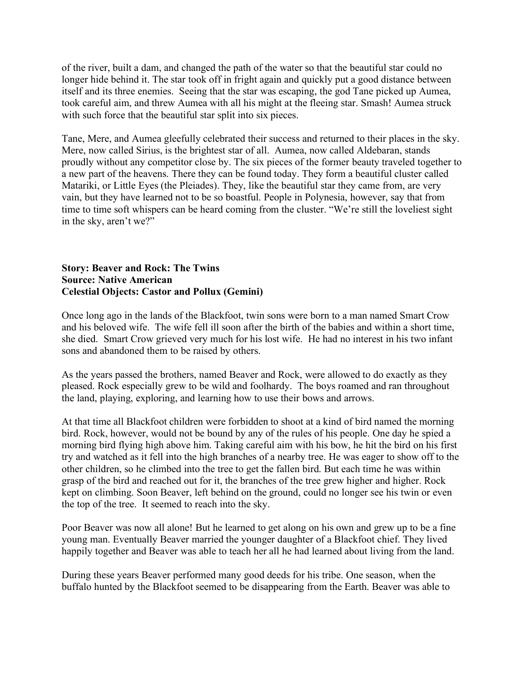of the river, built a dam, and changed the path of the water so that the beautiful star could no longer hide behind it. The star took off in fright again and quickly put a good distance between itself and its three enemies. Seeing that the star was escaping, the god Tane picked up Aumea, took careful aim, and threw Aumea with all his might at the fleeing star. Smash! Aumea struck with such force that the beautiful star split into six pieces.

Tane, Mere, and Aumea gleefully celebrated their success and returned to their places in the sky. Mere, now called Sirius, is the brightest star of all. Aumea, now called Aldebaran, stands proudly without any competitor close by. The six pieces of the former beauty traveled together to a new part of the heavens. There they can be found today. They form a beautiful cluster called Matariki, or Little Eyes (the Pleiades). They, like the beautiful star they came from, are very vain, but they have learned not to be so boastful. People in Polynesia, however, say that from time to time soft whispers can be heard coming from the cluster. "We're still the loveliest sight in the sky, aren't we?"

#### **Story: Beaver and Rock: The Twins Source: Native American Celestial Objects: Castor and Pollux (Gemini)**

Once long ago in the lands of the Blackfoot, twin sons were born to a man named Smart Crow and his beloved wife. The wife fell ill soon after the birth of the babies and within a short time, she died. Smart Crow grieved very much for his lost wife. He had no interest in his two infant sons and abandoned them to be raised by others.

As the years passed the brothers, named Beaver and Rock, were allowed to do exactly as they pleased. Rock especially grew to be wild and foolhardy. The boys roamed and ran throughout the land, playing, exploring, and learning how to use their bows and arrows.

At that time all Blackfoot children were forbidden to shoot at a kind of bird named the morning bird. Rock, however, would not be bound by any of the rules of his people. One day he spied a morning bird flying high above him. Taking careful aim with his bow, he hit the bird on his first try and watched as it fell into the high branches of a nearby tree. He was eager to show off to the other children, so he climbed into the tree to get the fallen bird. But each time he was within grasp of the bird and reached out for it, the branches of the tree grew higher and higher. Rock kept on climbing. Soon Beaver, left behind on the ground, could no longer see his twin or even the top of the tree. It seemed to reach into the sky.

Poor Beaver was now all alone! But he learned to get along on his own and grew up to be a fine young man. Eventually Beaver married the younger daughter of a Blackfoot chief. They lived happily together and Beaver was able to teach her all he had learned about living from the land.

During these years Beaver performed many good deeds for his tribe. One season, when the buffalo hunted by the Blackfoot seemed to be disappearing from the Earth. Beaver was able to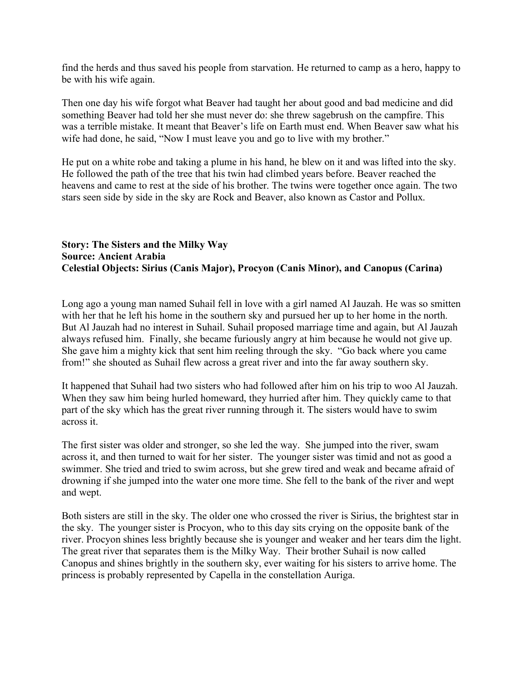find the herds and thus saved his people from starvation. He returned to camp as a hero, happy to be with his wife again.

Then one day his wife forgot what Beaver had taught her about good and bad medicine and did something Beaver had told her she must never do: she threw sagebrush on the campfire. This was a terrible mistake. It meant that Beaver's life on Earth must end. When Beaver saw what his wife had done, he said, "Now I must leave you and go to live with my brother."

He put on a white robe and taking a plume in his hand, he blew on it and was lifted into the sky. He followed the path of the tree that his twin had climbed years before. Beaver reached the heavens and came to rest at the side of his brother. The twins were together once again. The two stars seen side by side in the sky are Rock and Beaver, also known as Castor and Pollux.

# **Story: The Sisters and the Milky Way Source: Ancient Arabia Celestial Objects: Sirius (Canis Major), Procyon (Canis Minor), and Canopus (Carina)**

Long ago a young man named Suhail fell in love with a girl named Al Jauzah. He was so smitten with her that he left his home in the southern sky and pursued her up to her home in the north. But Al Jauzah had no interest in Suhail. Suhail proposed marriage time and again, but Al Jauzah always refused him. Finally, she became furiously angry at him because he would not give up. She gave him a mighty kick that sent him reeling through the sky. "Go back where you came from!" she shouted as Suhail flew across a great river and into the far away southern sky.

It happened that Suhail had two sisters who had followed after him on his trip to woo Al Jauzah. When they saw him being hurled homeward, they hurried after him. They quickly came to that part of the sky which has the great river running through it. The sisters would have to swim across it.

The first sister was older and stronger, so she led the way. She jumped into the river, swam across it, and then turned to wait for her sister. The younger sister was timid and not as good a swimmer. She tried and tried to swim across, but she grew tired and weak and became afraid of drowning if she jumped into the water one more time. She fell to the bank of the river and wept and wept.

Both sisters are still in the sky. The older one who crossed the river is Sirius, the brightest star in the sky. The younger sister is Procyon, who to this day sits crying on the opposite bank of the river. Procyon shines less brightly because she is younger and weaker and her tears dim the light. The great river that separates them is the Milky Way. Their brother Suhail is now called Canopus and shines brightly in the southern sky, ever waiting for his sisters to arrive home. The princess is probably represented by Capella in the constellation Auriga.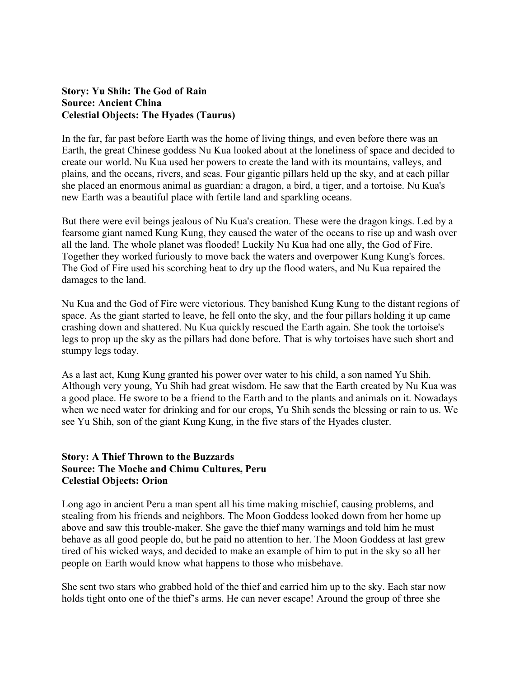## **Story: Yu Shih: The God of Rain Source: Ancient China Celestial Objects: The Hyades (Taurus)**

In the far, far past before Earth was the home of living things, and even before there was an Earth, the great Chinese goddess Nu Kua looked about at the loneliness of space and decided to create our world. Nu Kua used her powers to create the land with its mountains, valleys, and plains, and the oceans, rivers, and seas. Four gigantic pillars held up the sky, and at each pillar she placed an enormous animal as guardian: a dragon, a bird, a tiger, and a tortoise. Nu Kua's new Earth was a beautiful place with fertile land and sparkling oceans.

But there were evil beings jealous of Nu Kua's creation. These were the dragon kings. Led by a fearsome giant named Kung Kung, they caused the water of the oceans to rise up and wash over all the land. The whole planet was flooded! Luckily Nu Kua had one ally, the God of Fire. Together they worked furiously to move back the waters and overpower Kung Kung's forces. The God of Fire used his scorching heat to dry up the flood waters, and Nu Kua repaired the damages to the land.

Nu Kua and the God of Fire were victorious. They banished Kung Kung to the distant regions of space. As the giant started to leave, he fell onto the sky, and the four pillars holding it up came crashing down and shattered. Nu Kua quickly rescued the Earth again. She took the tortoise's legs to prop up the sky as the pillars had done before. That is why tortoises have such short and stumpy legs today.

As a last act, Kung Kung granted his power over water to his child, a son named Yu Shih. Although very young, Yu Shih had great wisdom. He saw that the Earth created by Nu Kua was a good place. He swore to be a friend to the Earth and to the plants and animals on it. Nowadays when we need water for drinking and for our crops, Yu Shih sends the blessing or rain to us. We see Yu Shih, son of the giant Kung Kung, in the five stars of the Hyades cluster.

# **Story: A Thief Thrown to the Buzzards Source: The Moche and Chimu Cultures, Peru Celestial Objects: Orion**

Long ago in ancient Peru a man spent all his time making mischief, causing problems, and stealing from his friends and neighbors. The Moon Goddess looked down from her home up above and saw this trouble-maker. She gave the thief many warnings and told him he must behave as all good people do, but he paid no attention to her. The Moon Goddess at last grew tired of his wicked ways, and decided to make an example of him to put in the sky so all her people on Earth would know what happens to those who misbehave.

She sent two stars who grabbed hold of the thief and carried him up to the sky. Each star now holds tight onto one of the thief's arms. He can never escape! Around the group of three she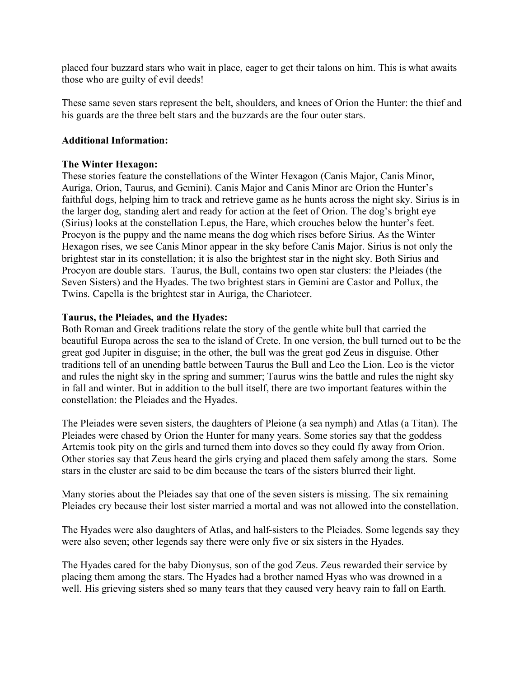placed four buzzard stars who wait in place, eager to get their talons on him. This is what awaits those who are guilty of evil deeds!

These same seven stars represent the belt, shoulders, and knees of Orion the Hunter: the thief and his guards are the three belt stars and the buzzards are the four outer stars.

## **Additional Information:**

# **The Winter Hexagon:**

These stories feature the constellations of the Winter Hexagon (Canis Major, Canis Minor, Auriga, Orion, Taurus, and Gemini). Canis Major and Canis Minor are Orion the Hunter's faithful dogs, helping him to track and retrieve game as he hunts across the night sky. Sirius is in the larger dog, standing alert and ready for action at the feet of Orion. The dog's bright eye (Sirius) looks at the constellation Lepus, the Hare, which crouches below the hunter's feet. Procyon is the puppy and the name means the dog which rises before Sirius. As the Winter Hexagon rises, we see Canis Minor appear in the sky before Canis Major. Sirius is not only the brightest star in its constellation; it is also the brightest star in the night sky. Both Sirius and Procyon are double stars. Taurus, the Bull, contains two open star clusters: the Pleiades (the Seven Sisters) and the Hyades. The two brightest stars in Gemini are Castor and Pollux, the Twins. Capella is the brightest star in Auriga, the Charioteer.

# **Taurus, the Pleiades, and the Hyades:**

Both Roman and Greek traditions relate the story of the gentle white bull that carried the beautiful Europa across the sea to the island of Crete. In one version, the bull turned out to be the great god Jupiter in disguise; in the other, the bull was the great god Zeus in disguise. Other traditions tell of an unending battle between Taurus the Bull and Leo the Lion. Leo is the victor and rules the night sky in the spring and summer; Taurus wins the battle and rules the night sky in fall and winter. But in addition to the bull itself, there are two important features within the constellation: the Pleiades and the Hyades.

The Pleiades were seven sisters, the daughters of Pleione (a sea nymph) and Atlas (a Titan). The Pleiades were chased by Orion the Hunter for many years. Some stories say that the goddess Artemis took pity on the girls and turned them into doves so they could fly away from Orion. Other stories say that Zeus heard the girls crying and placed them safely among the stars. Some stars in the cluster are said to be dim because the tears of the sisters blurred their light.

Many stories about the Pleiades say that one of the seven sisters is missing. The six remaining Pleiades cry because their lost sister married a mortal and was not allowed into the constellation.

The Hyades were also daughters of Atlas, and half-sisters to the Pleiades. Some legends say they were also seven; other legends say there were only five or six sisters in the Hyades.

The Hyades cared for the baby Dionysus, son of the god Zeus. Zeus rewarded their service by placing them among the stars. The Hyades had a brother named Hyas who was drowned in a well. His grieving sisters shed so many tears that they caused very heavy rain to fall on Earth.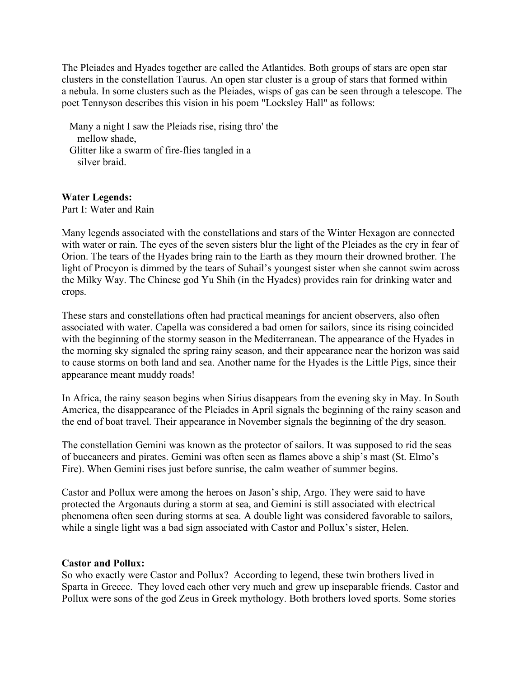The Pleiades and Hyades together are called the Atlantides. Both groups of stars are open star clusters in the constellation Taurus. An open star cluster is a group of stars that formed within a nebula. In some clusters such as the Pleiades, wisps of gas can be seen through a telescope. The poet Tennyson describes this vision in his poem "Locksley Hall" as follows:

 Many a night I saw the Pleiads rise, rising thro' the mellow shade, Glitter like a swarm of fire-flies tangled in a silver braid.

#### **Water Legends:**

Part I: Water and Rain

Many legends associated with the constellations and stars of the Winter Hexagon are connected with water or rain. The eyes of the seven sisters blur the light of the Pleiades as the cry in fear of Orion. The tears of the Hyades bring rain to the Earth as they mourn their drowned brother. The light of Procyon is dimmed by the tears of Suhail's youngest sister when she cannot swim across the Milky Way. The Chinese god Yu Shih (in the Hyades) provides rain for drinking water and crops.

These stars and constellations often had practical meanings for ancient observers, also often associated with water. Capella was considered a bad omen for sailors, since its rising coincided with the beginning of the stormy season in the Mediterranean. The appearance of the Hyades in the morning sky signaled the spring rainy season, and their appearance near the horizon was said to cause storms on both land and sea. Another name for the Hyades is the Little Pigs, since their appearance meant muddy roads!

In Africa, the rainy season begins when Sirius disappears from the evening sky in May. In South America, the disappearance of the Pleiades in April signals the beginning of the rainy season and the end of boat travel. Their appearance in November signals the beginning of the dry season.

The constellation Gemini was known as the protector of sailors. It was supposed to rid the seas of buccaneers and pirates. Gemini was often seen as flames above a ship's mast (St. Elmo's Fire). When Gemini rises just before sunrise, the calm weather of summer begins.

Castor and Pollux were among the heroes on Jason's ship, Argo. They were said to have protected the Argonauts during a storm at sea, and Gemini is still associated with electrical phenomena often seen during storms at sea. A double light was considered favorable to sailors, while a single light was a bad sign associated with Castor and Pollux's sister, Helen.

#### **Castor and Pollux:**

So who exactly were Castor and Pollux? According to legend, these twin brothers lived in Sparta in Greece. They loved each other very much and grew up inseparable friends. Castor and Pollux were sons of the god Zeus in Greek mythology. Both brothers loved sports. Some stories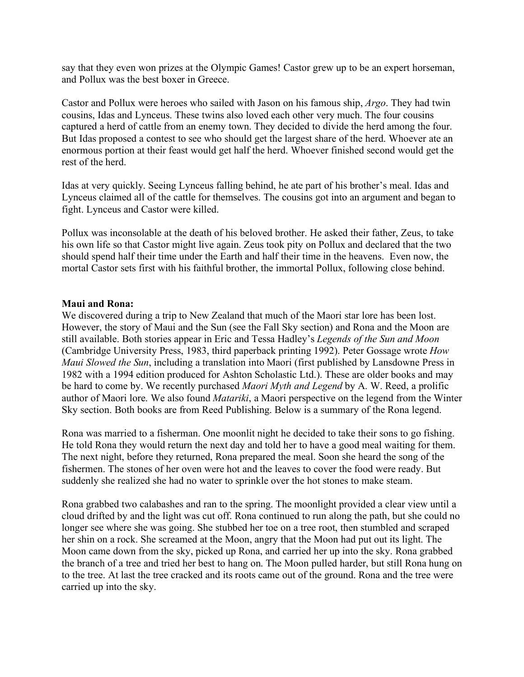say that they even won prizes at the Olympic Games! Castor grew up to be an expert horseman, and Pollux was the best boxer in Greece.

Castor and Pollux were heroes who sailed with Jason on his famous ship, *Argo*. They had twin cousins, Idas and Lynceus. These twins also loved each other very much. The four cousins captured a herd of cattle from an enemy town. They decided to divide the herd among the four. But Idas proposed a contest to see who should get the largest share of the herd. Whoever ate an enormous portion at their feast would get half the herd. Whoever finished second would get the rest of the herd.

Idas at very quickly. Seeing Lynceus falling behind, he ate part of his brother's meal. Idas and Lynceus claimed all of the cattle for themselves. The cousins got into an argument and began to fight. Lynceus and Castor were killed.

Pollux was inconsolable at the death of his beloved brother. He asked their father, Zeus, to take his own life so that Castor might live again. Zeus took pity on Pollux and declared that the two should spend half their time under the Earth and half their time in the heavens. Even now, the mortal Castor sets first with his faithful brother, the immortal Pollux, following close behind.

#### **Maui and Rona:**

We discovered during a trip to New Zealand that much of the Maori star lore has been lost. However, the story of Maui and the Sun (see the Fall Sky section) and Rona and the Moon are still available. Both stories appear in Eric and Tessa Hadley's *Legends of the Sun and Moon* (Cambridge University Press, 1983, third paperback printing 1992). Peter Gossage wrote *How Maui Slowed the Sun*, including a translation into Maori (first published by Lansdowne Press in 1982 with a 1994 edition produced for Ashton Scholastic Ltd.). These are older books and may be hard to come by. We recently purchased *Maori Myth and Legend* by A. W. Reed, a prolific author of Maori lore. We also found *Matariki*, a Maori perspective on the legend from the Winter Sky section. Both books are from Reed Publishing. Below is a summary of the Rona legend.

Rona was married to a fisherman. One moonlit night he decided to take their sons to go fishing. He told Rona they would return the next day and told her to have a good meal waiting for them. The next night, before they returned, Rona prepared the meal. Soon she heard the song of the fishermen. The stones of her oven were hot and the leaves to cover the food were ready. But suddenly she realized she had no water to sprinkle over the hot stones to make steam.

Rona grabbed two calabashes and ran to the spring. The moonlight provided a clear view until a cloud drifted by and the light was cut off. Rona continued to run along the path, but she could no longer see where she was going. She stubbed her toe on a tree root, then stumbled and scraped her shin on a rock. She screamed at the Moon, angry that the Moon had put out its light. The Moon came down from the sky, picked up Rona, and carried her up into the sky. Rona grabbed the branch of a tree and tried her best to hang on. The Moon pulled harder, but still Rona hung on to the tree. At last the tree cracked and its roots came out of the ground. Rona and the tree were carried up into the sky.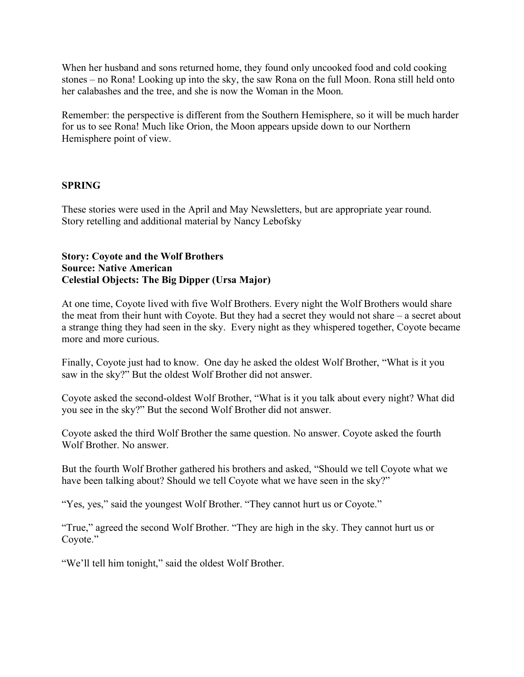When her husband and sons returned home, they found only uncooked food and cold cooking stones – no Rona! Looking up into the sky, the saw Rona on the full Moon. Rona still held onto her calabashes and the tree, and she is now the Woman in the Moon.

Remember: the perspective is different from the Southern Hemisphere, so it will be much harder for us to see Rona! Much like Orion, the Moon appears upside down to our Northern Hemisphere point of view.

# **SPRING**

These stories were used in the April and May Newsletters, but are appropriate year round. Story retelling and additional material by Nancy Lebofsky

# **Story: Coyote and the Wolf Brothers Source: Native American Celestial Objects: The Big Dipper (Ursa Major)**

At one time, Coyote lived with five Wolf Brothers. Every night the Wolf Brothers would share the meat from their hunt with Coyote. But they had a secret they would not share – a secret about a strange thing they had seen in the sky. Every night as they whispered together, Coyote became more and more curious.

Finally, Coyote just had to know. One day he asked the oldest Wolf Brother, "What is it you saw in the sky?" But the oldest Wolf Brother did not answer.

Coyote asked the second-oldest Wolf Brother, "What is it you talk about every night? What did you see in the sky?" But the second Wolf Brother did not answer.

Coyote asked the third Wolf Brother the same question. No answer. Coyote asked the fourth Wolf Brother. No answer.

But the fourth Wolf Brother gathered his brothers and asked, "Should we tell Coyote what we have been talking about? Should we tell Coyote what we have seen in the sky?"

"Yes, yes," said the youngest Wolf Brother. "They cannot hurt us or Coyote."

"True," agreed the second Wolf Brother. "They are high in the sky. They cannot hurt us or Coyote."

"We'll tell him tonight," said the oldest Wolf Brother.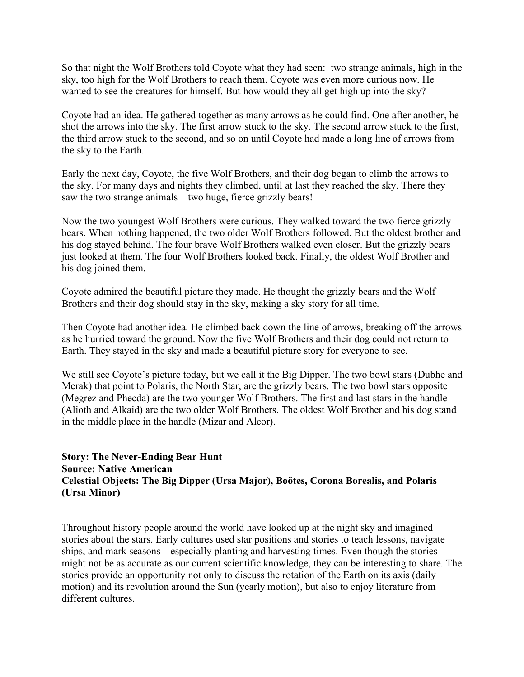So that night the Wolf Brothers told Coyote what they had seen: two strange animals, high in the sky, too high for the Wolf Brothers to reach them. Coyote was even more curious now. He wanted to see the creatures for himself. But how would they all get high up into the sky?

Coyote had an idea. He gathered together as many arrows as he could find. One after another, he shot the arrows into the sky. The first arrow stuck to the sky. The second arrow stuck to the first, the third arrow stuck to the second, and so on until Coyote had made a long line of arrows from the sky to the Earth.

Early the next day, Coyote, the five Wolf Brothers, and their dog began to climb the arrows to the sky. For many days and nights they climbed, until at last they reached the sky. There they saw the two strange animals – two huge, fierce grizzly bears!

Now the two youngest Wolf Brothers were curious. They walked toward the two fierce grizzly bears. When nothing happened, the two older Wolf Brothers followed. But the oldest brother and his dog stayed behind. The four brave Wolf Brothers walked even closer. But the grizzly bears just looked at them. The four Wolf Brothers looked back. Finally, the oldest Wolf Brother and his dog joined them.

Coyote admired the beautiful picture they made. He thought the grizzly bears and the Wolf Brothers and their dog should stay in the sky, making a sky story for all time.

Then Coyote had another idea. He climbed back down the line of arrows, breaking off the arrows as he hurried toward the ground. Now the five Wolf Brothers and their dog could not return to Earth. They stayed in the sky and made a beautiful picture story for everyone to see.

We still see Coyote's picture today, but we call it the Big Dipper. The two bowl stars (Dubhe and Merak) that point to Polaris, the North Star, are the grizzly bears. The two bowl stars opposite (Megrez and Phecda) are the two younger Wolf Brothers. The first and last stars in the handle (Alioth and Alkaid) are the two older Wolf Brothers. The oldest Wolf Brother and his dog stand in the middle place in the handle (Mizar and Alcor).

# **Story: The Never-Ending Bear Hunt Source: Native American Celestial Objects: The Big Dipper (Ursa Major), Boötes, Corona Borealis, and Polaris (Ursa Minor)**

Throughout history people around the world have looked up at the night sky and imagined stories about the stars. Early cultures used star positions and stories to teach lessons, navigate ships, and mark seasons—especially planting and harvesting times. Even though the stories might not be as accurate as our current scientific knowledge, they can be interesting to share. The stories provide an opportunity not only to discuss the rotation of the Earth on its axis (daily motion) and its revolution around the Sun (yearly motion), but also to enjoy literature from different cultures.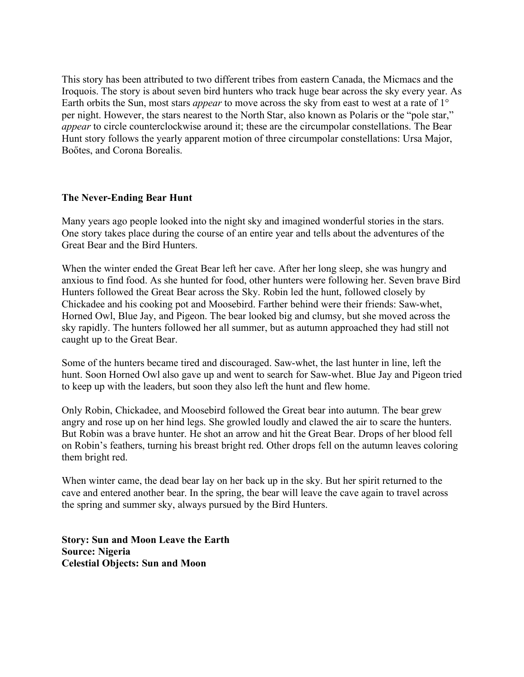This story has been attributed to two different tribes from eastern Canada, the Micmacs and the Iroquois. The story is about seven bird hunters who track huge bear across the sky every year. As Earth orbits the Sun, most stars *appear* to move across the sky from east to west at a rate of 1° per night. However, the stars nearest to the North Star, also known as Polaris or the "pole star," *appear* to circle counterclockwise around it; these are the circumpolar constellations. The Bear Hunt story follows the yearly apparent motion of three circumpolar constellations: Ursa Major, Boőtes, and Corona Borealis.

# **The Never-Ending Bear Hunt**

Many years ago people looked into the night sky and imagined wonderful stories in the stars. One story takes place during the course of an entire year and tells about the adventures of the Great Bear and the Bird Hunters.

When the winter ended the Great Bear left her cave. After her long sleep, she was hungry and anxious to find food. As she hunted for food, other hunters were following her. Seven brave Bird Hunters followed the Great Bear across the Sky. Robin led the hunt, followed closely by Chickadee and his cooking pot and Moosebird. Farther behind were their friends: Saw-whet, Horned Owl, Blue Jay, and Pigeon. The bear looked big and clumsy, but she moved across the sky rapidly. The hunters followed her all summer, but as autumn approached they had still not caught up to the Great Bear.

Some of the hunters became tired and discouraged. Saw-whet, the last hunter in line, left the hunt. Soon Horned Owl also gave up and went to search for Saw-whet. Blue Jay and Pigeon tried to keep up with the leaders, but soon they also left the hunt and flew home.

Only Robin, Chickadee, and Moosebird followed the Great bear into autumn. The bear grew angry and rose up on her hind legs. She growled loudly and clawed the air to scare the hunters. But Robin was a brave hunter. He shot an arrow and hit the Great Bear. Drops of her blood fell on Robin's feathers, turning his breast bright red. Other drops fell on the autumn leaves coloring them bright red.

When winter came, the dead bear lay on her back up in the sky. But her spirit returned to the cave and entered another bear. In the spring, the bear will leave the cave again to travel across the spring and summer sky, always pursued by the Bird Hunters.

**Story: Sun and Moon Leave the Earth Source: Nigeria Celestial Objects: Sun and Moon**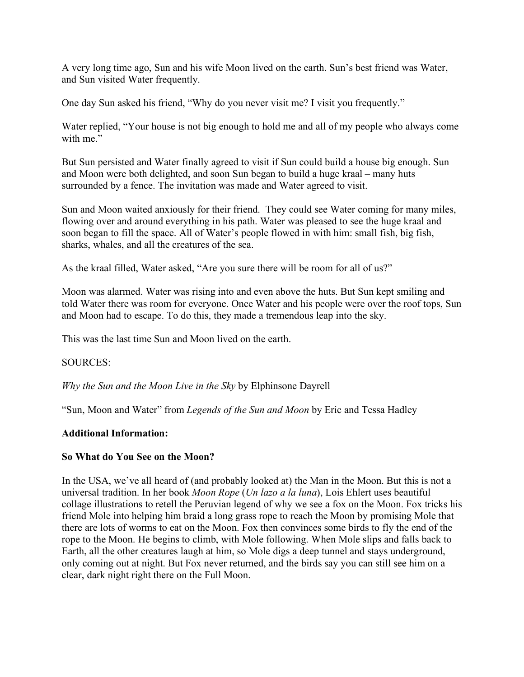A very long time ago, Sun and his wife Moon lived on the earth. Sun's best friend was Water, and Sun visited Water frequently.

One day Sun asked his friend, "Why do you never visit me? I visit you frequently."

Water replied, "Your house is not big enough to hold me and all of my people who always come with me"

But Sun persisted and Water finally agreed to visit if Sun could build a house big enough. Sun and Moon were both delighted, and soon Sun began to build a huge kraal – many huts surrounded by a fence. The invitation was made and Water agreed to visit.

Sun and Moon waited anxiously for their friend. They could see Water coming for many miles, flowing over and around everything in his path. Water was pleased to see the huge kraal and soon began to fill the space. All of Water's people flowed in with him: small fish, big fish, sharks, whales, and all the creatures of the sea.

As the kraal filled, Water asked, "Are you sure there will be room for all of us?"

Moon was alarmed. Water was rising into and even above the huts. But Sun kept smiling and told Water there was room for everyone. Once Water and his people were over the roof tops, Sun and Moon had to escape. To do this, they made a tremendous leap into the sky.

This was the last time Sun and Moon lived on the earth.

SOURCES:

*Why the Sun and the Moon Live in the Sky* by Elphinsone Dayrell

"Sun, Moon and Water" from *Legends of the Sun and Moon* by Eric and Tessa Hadley

#### **Additional Information:**

#### **So What do You See on the Moon?**

In the USA, we've all heard of (and probably looked at) the Man in the Moon. But this is not a universal tradition. In her book *Moon Rope* (*Un lazo a la luna*), Lois Ehlert uses beautiful collage illustrations to retell the Peruvian legend of why we see a fox on the Moon. Fox tricks his friend Mole into helping him braid a long grass rope to reach the Moon by promising Mole that there are lots of worms to eat on the Moon. Fox then convinces some birds to fly the end of the rope to the Moon. He begins to climb, with Mole following. When Mole slips and falls back to Earth, all the other creatures laugh at him, so Mole digs a deep tunnel and stays underground, only coming out at night. But Fox never returned, and the birds say you can still see him on a clear, dark night right there on the Full Moon.